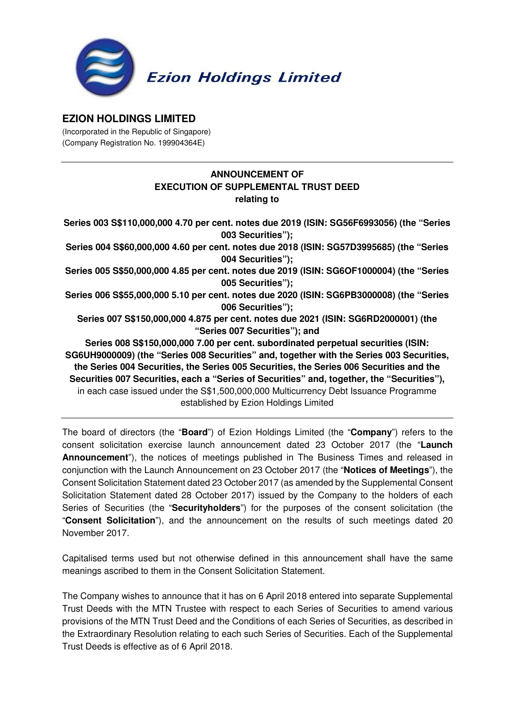

## **EZION HOLDINGS LIMITED**

(Incorporated in the Republic of Singapore) (Company Registration No. 199904364E)

## **ANNOUNCEMENT OF EXECUTION OF SUPPLEMENTAL TRUST DEED relating to**

**Series 003 S\$110,000,000 4.70 per cent. notes due 2019 (ISIN: SG56F6993056) (the "Series 003 Securities"); Series 004 S\$60,000,000 4.60 per cent. notes due 2018 (ISIN: SG57D3995685) (the "Series 004 Securities"); Series 005 S\$50,000,000 4.85 per cent. notes due 2019 (ISIN: SG6OF1000004) (the "Series 005 Securities"); Series 006 S\$55,000,000 5.10 per cent. notes due 2020 (ISIN: SG6PB3000008) (the "Series 006 Securities"); Series 007 S\$150,000,000 4.875 per cent. notes due 2021 (ISIN: SG6RD2000001) (the "Series 007 Securities"); and Series 008 S\$150,000,000 7.00 per cent. subordinated perpetual securities (ISIN: SG6UH9000009) (the "Series 008 Securities" and, together with the Series 003 Securities, the Series 004 Securities, the Series 005 Securities, the Series 006 Securities and the Securities 007 Securities, each a "Series of Securities" and, together, the "Securities"),**  in each case issued under the S\$1,500,000,000 Multicurrency Debt Issuance Programme established by Ezion Holdings Limited

The board of directors (the "**Board**") of Ezion Holdings Limited (the "**Company**") refers to the consent solicitation exercise launch announcement dated 23 October 2017 (the "**Launch Announcement**"), the notices of meetings published in The Business Times and released in conjunction with the Launch Announcement on 23 October 2017 (the "**Notices of Meetings**"), the Consent Solicitation Statement dated 23 October 2017 (as amended by the Supplemental Consent Solicitation Statement dated 28 October 2017) issued by the Company to the holders of each Series of Securities (the "**Securityholders**") for the purposes of the consent solicitation (the "**Consent Solicitation**"), and the announcement on the results of such meetings dated 20 November 2017.

Capitalised terms used but not otherwise defined in this announcement shall have the same meanings ascribed to them in the Consent Solicitation Statement.

The Company wishes to announce that it has on 6 April 2018 entered into separate Supplemental Trust Deeds with the MTN Trustee with respect to each Series of Securities to amend various provisions of the MTN Trust Deed and the Conditions of each Series of Securities, as described in the Extraordinary Resolution relating to each such Series of Securities. Each of the Supplemental Trust Deeds is effective as of 6 April 2018.